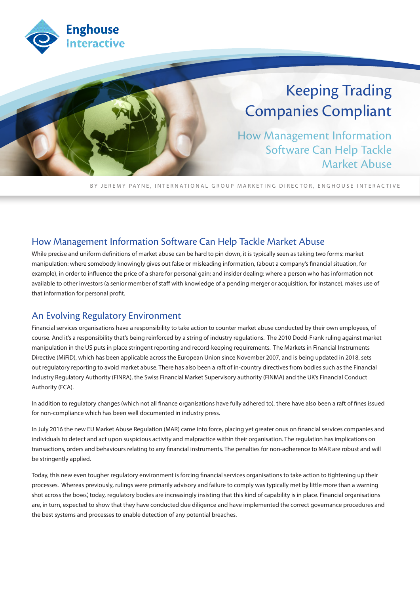

# Keeping Trading Companies Compliant

How Management Information Software Can Help Tackle Market Abuse

BY JEREMY PAYNE, INTERNATIONAL GROUP MARKETING DIRECTOR, ENGHOUSE INTERACTIVE

#### How Management Information Software Can Help Tackle Market Abuse

While precise and uniform definitions of market abuse can be hard to pin down, it is typically seen as taking two forms: market manipulation: where somebody knowingly gives out false or misleading information, (about a company's financial situation, for example), in order to influence the price of a share for personal gain; and insider dealing: where a person who has information not available to other investors (a senior member of staff with knowledge of a pending merger or acquisition, for instance), makes use of that information for personal profit.

#### An Evolving Regulatory Environment

Financial services organisations have a responsibility to take action to counter market abuse conducted by their own employees, of course. And it's a responsibility that's being reinforced by a string of industry regulations. The 2010 Dodd-Frank ruling against market manipulation in the US puts in place stringent reporting and record-keeping requirements. The Markets in Financial Instruments Directive (MiFiD), which has been applicable across the European Union since November 2007, and is being updated in 2018, sets out regulatory reporting to avoid market abuse. There has also been a raft of in-country directives from bodies such as the Financial Industry Regulatory Authority (FINRA), the Swiss Financial Market Supervisory authority (FINMA) and the UK's Financial Conduct Authority (FCA).

In addition to regulatory changes (which not all finance organisations have fully adhered to), there have also been a raft of fines issued for non-compliance which has been well documented in industry press.

In July 2016 the new EU Market Abuse Regulation (MAR) came into force, placing yet greater onus on financial services companies and individuals to detect and act upon suspicious activity and malpractice within their organisation. The regulation has implications on transactions, orders and behaviours relating to any financial instruments. The penalties for non-adherence to MAR are robust and will be stringently applied.

Today, this new even tougher regulatory environment is forcing financial services organisations to take action to tightening up their processes. Whereas previously, rulings were primarily advisory and failure to comply was typically met by little more than a warning shot across the bows', today, regulatory bodies are increasingly insisting that this kind of capability is in place. Financial organisations are, in turn, expected to show that they have conducted due diligence and have implemented the correct governance procedures and the best systems and processes to enable detection of any potential breaches.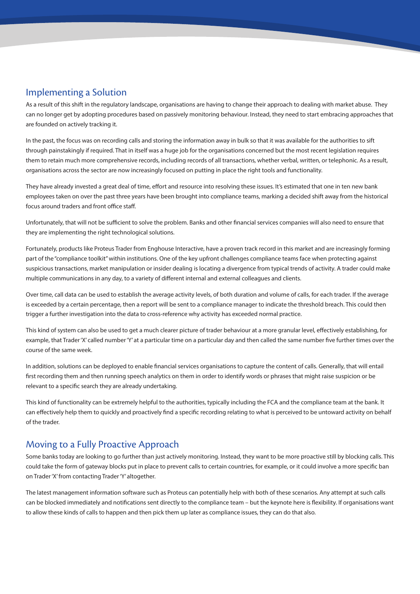#### Implementing a Solution

As a result of this shift in the regulatory landscape, organisations are having to change their approach to dealing with market abuse. They can no longer get by adopting procedures based on passively monitoring behaviour. Instead, they need to start embracing approaches that are founded on actively tracking it.

In the past, the focus was on recording calls and storing the information away in bulk so that it was available for the authorities to sift through painstakingly if required. That in itself was a huge job for the organisations concerned but the most recent legislation requires them to retain much more comprehensive records, including records of all transactions, whether verbal, written, or telephonic. As a result, organisations across the sector are now increasingly focused on putting in place the right tools and functionality.

They have already invested a great deal of time, effort and resource into resolving these issues. It's estimated that one in ten new bank employees taken on over the past three years have been brought into compliance teams, marking a decided shift away from the historical focus around traders and front office staff.

Unfortunately, that will not be sufficient to solve the problem. Banks and other financial services companies will also need to ensure that they are implementing the right technological solutions.

Fortunately, products like Proteus Trader from Enghouse Interactive, have a proven track record in this market and are increasingly forming part of the "compliance toolkit" within institutions. One of the key upfront challenges compliance teams face when protecting against suspicious transactions, market manipulation or insider dealing is locating a divergence from typical trends of activity. A trader could make multiple communications in any day, to a variety of different internal and external colleagues and clients.

Over time, call data can be used to establish the average activity levels, of both duration and volume of calls, for each trader. If the average is exceeded by a certain percentage, then a report will be sent to a compliance manager to indicate the threshold breach. This could then trigger a further investigation into the data to cross-reference why activity has exceeded normal practice.

This kind of system can also be used to get a much clearer picture of trader behaviour at a more granular level, effectively establishing, for example, that Trader 'X' called number 'Y' at a particular time on a particular day and then called the same number five further times over the course of the same week.

In addition, solutions can be deployed to enable financial services organisations to capture the content of calls. Generally, that will entail first recording them and then running speech analytics on them in order to identify words or phrases that might raise suspicion or be relevant to a specific search they are already undertaking.

This kind of functionality can be extremely helpful to the authorities, typically including the FCA and the compliance team at the bank. It can effectively help them to quickly and proactively find a specific recording relating to what is perceived to be untoward activity on behalf of the trader.

### Moving to a Fully Proactive Approach

Some banks today are looking to go further than just actively monitoring. Instead, they want to be more proactive still by blocking calls. This could take the form of gateway blocks put in place to prevent calls to certain countries, for example, or it could involve a more specific ban on Trader 'X' from contacting Trader 'Y' altogether.

The latest management information software such as Proteus can potentially help with both of these scenarios. Any attempt at such calls can be blocked immediately and notifications sent directly to the compliance team – but the keynote here is flexibility. If organisations want to allow these kinds of calls to happen and then pick them up later as compliance issues, they can do that also.